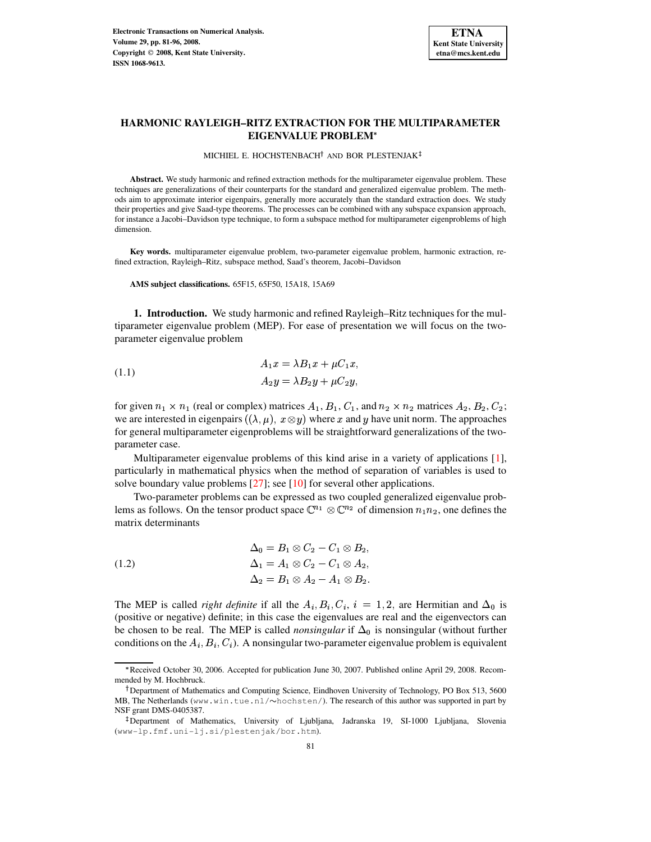

# **HARMONIC RAYLEIGH–RITZ EXTRACTION FOR THE MULTIPARAMETER EIGENVALUE PROBLEM**

MICHIEL E. HOCHSTENBACH<sup>†</sup> AND BOR PLESTENJAK

**Abstract.** We study harmonic and refined extraction methods for the multiparameter eigenvalue problem. These techniques are generalizations of their counterparts for the standard and generalized eigenvalue problem. The methods aim to approximate interior eigenpairs, generally more accurately than the standard extraction does. We study their properties and give Saad-type theorems. The processes can be combined with any subspace expansion approach, for instance a Jacobi–Davidson type technique, to form a subspace method for multiparameter eigenproblems of high dimension.

**Key words.** multiparameter eigenvalue problem, two-parameter eigenvalue problem, harmonic extraction, refined extraction, Rayleigh–Ritz, subspace method, Saad's theorem, Jacobi–Davidson

**AMS subject classifications.** 65F15, 65F50, 15A18, 15A69

**1. Introduction.** We study harmonic and refined Rayleigh–Ritz techniques for the multiparameter eigenvalue problem (MEP). For ease of presentation we will focus on the twoparameter eigenvalue problem

the contract of the contract of the contract of the contract of the contract of the contract of the contract of

<span id="page-0-0"></span>(1.1) 
$$
A_1x = \lambda B_1x + \mu C_1x,
$$

$$
A_2y = \lambda B_2y + \mu C_2y,
$$

for given  $n_1 \times n_1$  (real or complex) matrices  $A_1$ ,  $B_1$ ,  $C_1$ , and  $n_2 \times n_2$  matrices  $A_2$ ,  $B_2$ ,  $C_2$ ; we are interested in eigenpairs  $((\lambda, \mu), x \otimes y)$  where x and y have unit norm. The approaches for general multiparameter eigenproblems will be straightforward generalizations of the twoparameter case.

Multiparameter eigenvalue problems of this kind arise in a variety of applications [\[1\]](#page-14-0), particularly in mathematical physics when the method of separation of variables is used to solve boundary value problems [\[27\]](#page-15-0); see [\[10\]](#page-15-1) for several other applications.

Two-parameter problems can be expressed as two coupled generalized eigenvalue problems as follows. On the tensor product space  $\mathbb{C}^{n_1} \otimes \mathbb{C}^{n_2}$  of dimension  $n_1n_2$ , one defines the matrix determinants

<span id="page-0-1"></span>(1.2)  
\n
$$
\Delta_0 = B_1 \otimes C_2 - C_1 \otimes B_2,
$$
\n
$$
\Delta_1 = A_1 \otimes C_2 - C_1 \otimes A_2,
$$
\n
$$
\Delta_2 = B_1 \otimes A_2 - A_1 \otimes B_2.
$$

The MEP is called *right definite* if all the  $A_i, B_i, C_i, i = 1, 2$ , are Hermitian and  $\Delta_0$  is (positive or negative) definite; in this case the eigenvalues are real and the eigenvectors can be chosen to be real. The MEP is called *nonsingular* if  $\Delta_0$  is nonsingular (without further conditions on the  $A_i, B_i, C_i$ ). A nonsingular two-parameter eigenvalue problem is equivalent

<sup>L</sup> Received October 30, 2006. Accepted for publication June 30, 2007. Published online April 29, 2008. Recommended by M. Hochbruck.

<sup>&</sup>lt;sup>†</sup>Department of Mathematics and Computing Science, Eindhoven University of Technology, PO Box 513, 5600 MB, The Netherlands (www.win.tue.nl/ $\sim$ hochsten/). The research of this author was supported in part by NSF grant DMS-0405387.

<sup>-</sup> Department of Mathematics, University of Ljubljana, Jadranska 19, SI-1000 Ljubljana, Slovenia (www-lp.fmf.uni-lj.si/plestenjak/bor.htm).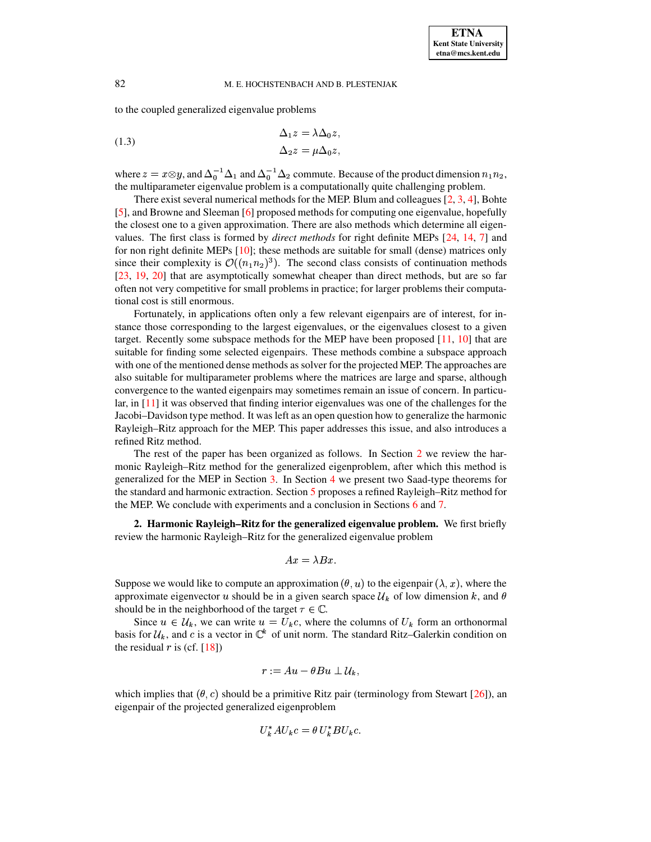to the coupled generalized eigenvalue problems

<span id="page-1-1"></span>(1.3) 
$$
\Delta_1 z = \lambda \Delta_0 z, \Delta_2 z = \mu \Delta_0 z,
$$

where  $z = x \otimes y$ , and  $\Delta_0^{-1} \Delta_1$  and  $\Delta_0^{-1} \Delta_2$  commute. Because of the product dimension  $n_1 n_2$ , the multiparameter eigenvalue problem is a computationally quite challenging problem.

There exist several numerical methods for the MEP. Blum and colleagues  $[2, 3, 4]$  $[2, 3, 4]$  $[2, 3, 4]$  $[2, 3, 4]$  $[2, 3, 4]$ , Bohte [\[5\]](#page-14-4), and Browne and Sleeman [\[6\]](#page-14-5) proposed methods for computing one eigenvalue, hopefully the closest one to a given approximation. There are also methods which determine all eigenvalues. The first class is formed by *direct methods* for right definite MEPs [\[24,](#page-15-2) [14,](#page-15-3) [7\]](#page-14-6) and for non right definite MEPs  $[10]$ ; these methods are suitable for small (dense) matrices only since their complexity is  $\mathcal{O}((n_1n_2)^3)$ . The second class consists of continuation methods [\[23,](#page-15-4) [19,](#page-15-5) [20\]](#page-15-6) that are asymptotically somewhat cheaper than direct methods, but are so far often not very competitive for small problems in practice; for larger problems their computational cost is still enormous.

Fortunately, in applications often only a few relevant eigenpairs are of interest, for instance those corresponding to the largest eigenvalues, or the eigenvalues closest to a given target. Recently some subspace methods for the MEP have been proposed  $[11, 10]$  $[11, 10]$  $[11, 10]$  that are suitable for finding some selected eigenpairs. These methods combine a subspace approach with one of the mentioned dense methods as solver for the projected MEP. The approaches are also suitable for multiparameter problems where the matrices are large and sparse, although convergence to the wanted eigenpairs may sometimes remain an issue of concern. In particular, in [\[11\]](#page-15-7) it was observed that finding interior eigenvalues was one of the challenges for the Jacobi–Davidson type method. It was left as an open question how to generalize the harmonic Rayleigh–Ritz approach for the MEP. This paper addresses this issue, and also introduces a refined Ritz method.

The rest of the paper has been organized as follows. In Section [2](#page-1-0) we review the harmonic Rayleigh–Ritz method for the generalized eigenproblem, after which this method is generalized for the MEP in Section [3.](#page-2-0) In Section [4](#page-4-0) we present two Saad-type theorems for the standard and harmonic extraction. Section [5](#page-7-0) proposes a refined Rayleigh–Ritz method for the MEP. We conclude with experiments and a conclusion in Sections [6](#page-8-0) and [7.](#page-13-0)

<span id="page-1-0"></span>**2. Harmonic Rayleigh–Ritz for the generalized eigenvalue problem.** We first briefly review the harmonic Rayleigh–Ritz for the generalized eigenvalue problem

$$
Ax = \lambda Bx.
$$

Suppose we would like to compute an approximation  $(\theta, u)$  to the eigenpair  $(\lambda, x)$ , where the approximate eigenvector u should be in a given search space  $\mathcal{U}_k$  of low dimension k, and  $\theta$ should be in the neighborhood of the target  $\tau \in \mathbb{C}$ .

Since  $u \in \mathcal{U}_k$ , we can write  $u = U_k c$ , where the columns of  $U_k$  form an orthonormal basis for  $\mathcal{U}_k$ , and c is a vector in  $\mathbb{C}^k$  of unit norm. The standard Ritz–Galerkin condition on the residual  $r$  is (cf.  $[18]$ )

$$
r:=Au-\theta Bu\perp \mathcal{U}_k,
$$

which implies that  $(\theta, c)$  should be a primitive Ritz pair (terminology from Stewart [\[26\]](#page-15-9)), an eigenpair of the projected generalized eigenproblem

$$
U_k^* A U_k c = \theta U_k^* B U_k c.
$$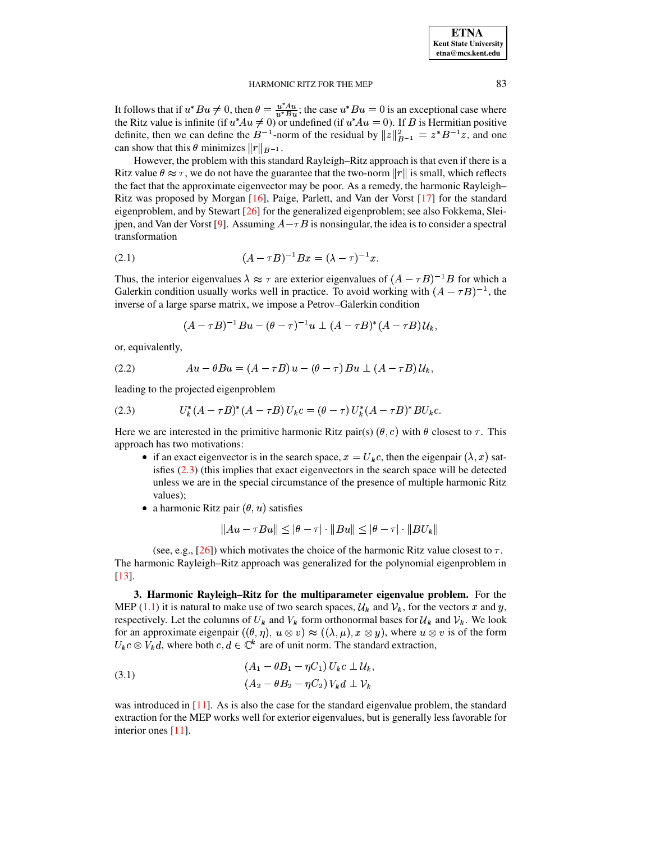It follows that if  $u^*Bu \neq 0$ , then  $\theta = \frac{u^*Au}{u^*Bu}$ ; the case  $u^*Bu = 0$  is an exceptional case where the Ritz value is infinite (if  $u^*Au \neq 0$ ) or undefined (if  $u^*Au = 0$ ). If B is Hermitian positive definite, then we can define the  $B^{-1}$ -norm of the residual by  $||z||_{B^{-1}}^2 = z^* B^{-1} z$ , and one can show that this  $\theta$  minimizes  $||r||_{B^{-1}}$ .

However, the problem with this standard Rayleigh–Ritz approach is that even if there is a Ritz value  $\theta \approx \tau$ , we do not have the guarantee that the two-norm  $||r||$  is small, which reflects the fact that the approximate eigenvector may be poor. As a remedy, the harmonic Rayleigh– Ritz was proposed by Morgan [\[16\]](#page-15-10), Paige, Parlett, and Van der Vorst [\[17\]](#page-15-11) for the standard eigenproblem, and by Stewart  $[26]$  for the generalized eigenproblem; see also Fokkema, Slei-jpen, and Van der Vorst [\[9\]](#page-15-12). Assuming  $A - \tau B$  is nonsingular, the idea is to consider a spectral transformation

<span id="page-2-2"></span>(2.1) 
$$
(A - \tau B)^{-1} Bx = (\lambda - \tau)^{-1} x.
$$

Thus, the interior eigenvalues  $\lambda \approx \tau$  are exterior eigenvalues of  $(A - \tau B)^{-1}B$  for which a Galerkin condition usually works well in practice. To avoid working with  $(A - \tau B)^{-1}$ , the inverse of a large sparse matrix, we impose a Petrov–Galerkin condition

$$
(A-\tau B)^{-1}Bu - (\theta-\tau)^{-1}u \perp (A-\tau B)^*(A-\tau B)U_k,
$$

or, equivalently,

<span id="page-2-3"></span>
$$
(2.2) \t\t\t Au - \theta Bu = (A - \tau B)u - (\theta - \tau)Bu \perp (A - \tau B)U_k,
$$

leading to the projected eigenproblem

<span id="page-2-1"></span>(2.3) 
$$
U_k^*(A - \tau B)^*(A - \tau B)U_k c = (\theta - \tau)U_k^*(A - \tau B)^* B U_k c.
$$

Here we are interested in the primitive harmonic Ritz pair(s)  $(\theta, c)$  with  $\theta$  closest to  $\tau$ . This approach has two motivations:

- if an exact eigenvector is in the search space,  $x = U_k c$ , then the eigenpair  $(\lambda, x)$  satisfies [\(2.3\)](#page-2-1) (this implies that exact eigenvectors in the search space will be detected unless we are in the special circumstance of the presence of multiple harmonic Ritz values);
- a harmonic Ritz pair  $({\theta}, u)$  satisfies

$$
||Au - \tau Bu|| \le |\theta - \tau| \cdot ||Bu|| \le |\theta - \tau| \cdot ||BU_k||
$$

(see, e.g., [\[26\]](#page-15-9)) which motivates the choice of the harmonic Ritz value closest to  $\tau$ . The harmonic Rayleigh–Ritz approach was generalized for the polynomial eigenproblem in [\[13\]](#page-15-13).

<span id="page-2-0"></span>**3. Harmonic Rayleigh–Ritz for the multiparameter eigenvalue problem.** For the MEP [\(1.1\)](#page-0-0) it is natural to make use of two search spaces,  $\mathcal{U}_k$  and  $\mathcal{V}_k$ , for the vectors x and y, respectively. Let the columns of  $U_k$  and  $V_k$  form orthonormal bases for  $\mathcal{U}_k$  and  $\mathcal{V}_k$ . We look for an approximate eigenpair  $((\theta, \eta), u \otimes v) \approx ((\lambda, \mu), x \otimes y)$ , where  $u \otimes v$  is of the form  $U_k c \otimes V_k d$ , where both  $c, d \in \mathbb{C}^k$  are of unit norm. The standard extraction,

<span id="page-2-4"></span>(3.1) 
$$
(A_1 - \theta B_1 - \eta C_1) U_k c \perp U_k,
$$

$$
(A_2 - \theta B_2 - \eta C_2) V_k d \perp V_k
$$

was introduced in [\[11\]](#page-15-7). As is also the case for the standard eigenvalue problem, the standard extraction for the MEP works well for exterior eigenvalues, but is generally less favorable for interior ones [\[11\]](#page-15-7).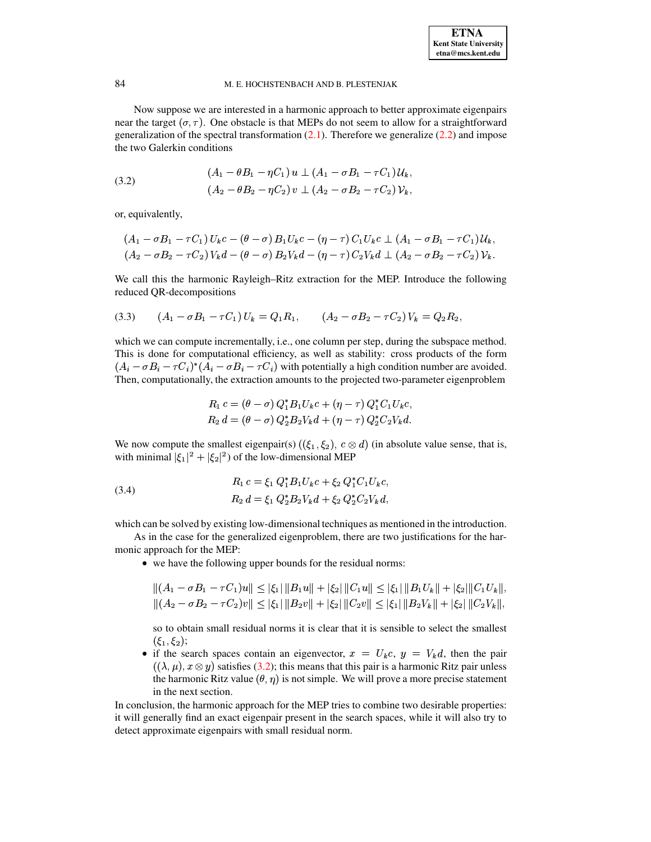Now suppose we are interested in a harmonic approach to better approximate eigenpairs near the target  $({\sigma}, {\tau})$ . One obstacle is that MEPs do not seem to allow for a straightforward generalization of the spectral transformation  $(2.1)$ . Therefore we generalize  $(2.2)$  and impose the two Galerkin conditions

<span id="page-3-0"></span>(3.2) 
$$
(A_1 - \theta B_1 - \eta C_1) u \perp (A_1 - \sigma B_1 - \tau C_1) U_k,
$$

$$
(A_2 - \theta B_2 - \eta C_2) v \perp (A_2 - \sigma B_2 - \tau C_2) V_k,
$$

or, equivalently,

$$
(A_1 - \sigma B_1 - \tau C_1) U_k c - (\theta - \sigma) B_1 U_k c - (\eta - \tau) C_1 U_k c \perp (A_1 - \sigma B_1 - \tau C_1) U_k,
$$
  
\n
$$
(A_2 - \sigma B_2 - \tau C_2) V_k d - (\theta - \sigma) B_2 V_k d - (\eta - \tau) C_2 V_k d \perp (A_2 - \sigma B_2 - \tau C_2) V_k.
$$

We call this the harmonic Rayleigh–Ritz extraction for the MEP. Introduce the following reduced QR-decompositions

<span id="page-3-1"></span>
$$
(3.3) \qquad (A_1 - \sigma B_1 - \tau C_1) U_k = Q_1 R_1, \qquad (A_2 - \sigma B_2 - \tau C_2) V_k = Q_2 R_2,
$$

which we can compute incrementally, i.e., one column per step, during the subspace method. This is done for computational efficiency, as well as stability: cross products of the form  $(A_i - \sigma B_i - \tau C_i)^*(A_i - \sigma B_i - \tau C_i)$  with potentially a high condition number are avoided. Then, computationally, the extraction amounts to the projected two-parameter eigenproblem

$$
R_1 c = (\theta - \sigma) Q_1^* B_1 U_k c + (\eta - \tau) Q_1^* C_1 U_k c,
$$
  
\n
$$
R_2 d = (\theta - \sigma) Q_2^* B_2 V_k d + (\eta - \tau) Q_2^* C_2 V_k d.
$$

We now compute the smallest eigenpair(s)  $((\xi_1, \xi_2), c \otimes d)$  (in absolute value sense, that is, with minimal  $|\xi_1|^2 + |\xi_2|^2$  of the low-dimensional MEP

<span id="page-3-2"></span>(3.4) 
$$
R_1 c = \xi_1 Q_1^* B_1 U_k c + \xi_2 Q_1^* C_1 U_k c,
$$

$$
R_2 d = \xi_1 Q_2^* B_2 V_k d + \xi_2 Q_2^* C_2 V_k d,
$$

which can be solved by existing low-dimensional techniques as mentioned in the introduction.

As in the case for the generalized eigenproblem, there are two justifications for the harmonic approach for the MEP:

• we have the following upper bounds for the residual norms:

$$
||(A_1 - \sigma B_1 - \tau C_1)u|| \leq |\xi_1| ||B_1u|| + |\xi_2| ||C_1u|| \leq |\xi_1| ||B_1U_k|| + |\xi_2| ||C_1U_k||,
$$
  

$$
||(A_2 - \sigma B_2 - \tau C_2)v|| \leq |\xi_1| ||B_2v|| + |\xi_2| ||C_2v|| \leq |\xi_1| ||B_2V_k|| + |\xi_2| ||C_2V_k||,
$$

so to obtain small residual norms it is clear that it is sensible to select the smallest  $(\xi_1,\xi_2);$ 

• if the search spaces contain an eigenvector,  $x = U_k c$ ,  $y = V_k d$ , then the pair  $((\lambda,\mu),x\otimes y)$  satisfies [\(3.2\)](#page-3-0); this means that this pair is a harmonic Ritz pair unless the harmonic Ritz value  $(\theta, \eta)$  is not simple. We will prove a more precise statement in the next section.

In conclusion, the harmonic approach for the MEP tries to combine two desirable properties: it will generally find an exact eigenpair present in the search spaces, while it will also try to detect approximate eigenpairs with small residual norm.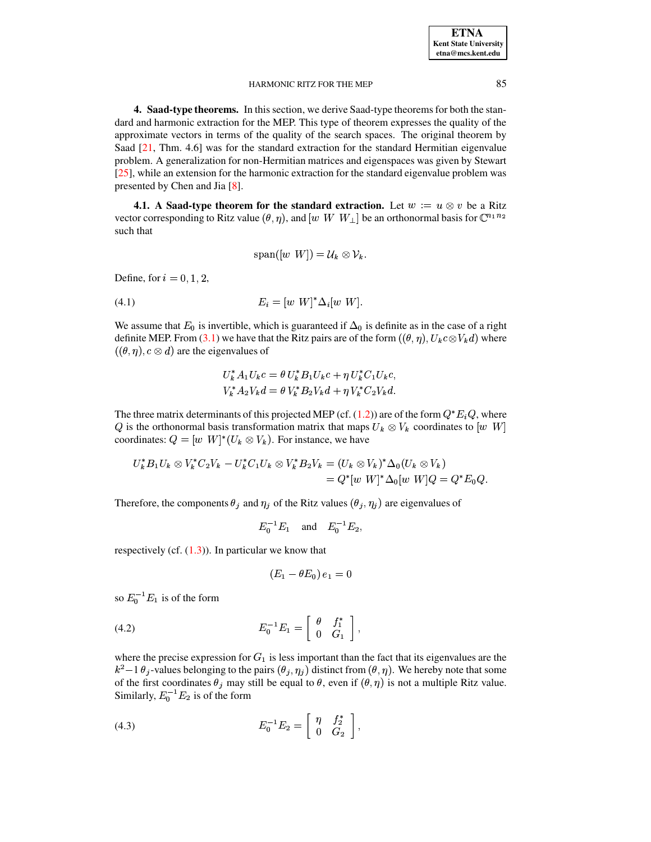<span id="page-4-0"></span>**4. Saad-type theorems.** In this section, we derive Saad-type theoremsfor both the standard and harmonic extraction for the MEP. This type of theorem expresses the quality of the approximate vectors in terms of the quality of the search spaces. The original theorem by Saad [\[21,](#page-15-14) Thm. 4.6] was for the standard extraction for the standard Hermitian eigenvalue problem. A generalization for non-Hermitian matrices and eigenspaces was given by Stewart [\[25\]](#page-15-15), while an extension for the harmonic extraction for the standard eigenvalue problem was presented by Chen and Jia [\[8\]](#page-15-16).

**4.1. A** Saad-type theorem for the standard extraction. Let  $w := u \otimes v$  be a Ritz vector corresponding to Ritz value  $({\theta}, \eta)$ , and  $[w \ W \ W_\perp]$  be an orthonormal basis for  ${\mathbb C}^{n_1 n_2}$ such that

$$
\mathrm{span}([w \ \ W]) = \mathcal{U}_k \otimes \mathcal{V}_k.
$$

Define, for  $i=0,1,2$ ,

<span id="page-4-3"></span>
$$
(4.1) \t\t\t E_i = [w \t W]^* \Delta_i [w \t W].
$$

We assume that  $E_0$  is invertible, which is guaranteed if  $\Delta_0$  is definite as in the case of a right definite MEP. From [\(3.1\)](#page-2-4) we have that the Ritz pairs are of the form  $((\theta, \eta), U_k c \otimes V_k d)$  where  $((\theta, \eta), c \otimes d)$  are the eigenvalues of

$$
U_k^* A_1 U_k c = \theta U_k^* B_1 U_k c + \eta U_k^* C_1 U_k c,
$$
  

$$
V_k^* A_2 V_k d = \theta V_k^* B_2 V_k d + \eta V_k^* C_2 V_k d.
$$

The three matrix determinants of this projected MEP (cf. [\(1.2\)](#page-0-1)) are of the form  $Q^*E_iQ$ , where Q is the orthonormal basis transformation matrix that maps  $U_k \otimes V_k$  coordinates to  $[w \ W]$ coordinates:  $Q = [w \ W]^*(U_k \otimes V_k)$ . For instance, we have

$$
U_k^* B_1 U_k \otimes V_k^* C_2 V_k - U_k^* C_1 U_k \otimes V_k^* B_2 V_k = (U_k \otimes V_k)^* \Delta_0 (U_k \otimes V_k)
$$
  
=  $Q^* [w \ W]^* \Delta_0 [w \ W] Q = Q^* E_0 Q.$ 

Therefore, the components  $\theta_j$  and  $\eta_j$  of the Ritz values  $(\theta_j, \eta_j)$  are eigenvalues of

$$
E_0^{-1}E_1
$$
 and  $E_0^{-1}E_2$ ,

respectively (cf.  $(1.3)$ ). In particular we know that

$$
(E_1-\theta E_0)\,e_1=0
$$

so  $E_0^{-1}E_1$  is of the form

<span id="page-4-1"></span>(4.2) 
$$
E_0^{-1}E_1 = \begin{bmatrix} \theta & f_1^* \\ 0 & G_1 \end{bmatrix},
$$

where the precise expression for  $G_1$  is less important than the fact that its eigenvalues are the  $k^2-1$   $\theta_j$ -values belonging to the pairs  $(\theta_j, \eta_j)$  distinct from  $(\theta, \eta)$ . We hereby note that some of the first coordinates  $\theta_j$  may still be equal to  $\theta$ , even if  $({\theta}, {\eta})$  is not a multiple Ritz value. Similarly,  $E_0^{-1}E_2$  is of the form

<span id="page-4-2"></span>(4.3) 
$$
E_0^{-1} E_2 = \begin{bmatrix} \eta & f_2^* \\ 0 & G_2 \end{bmatrix},
$$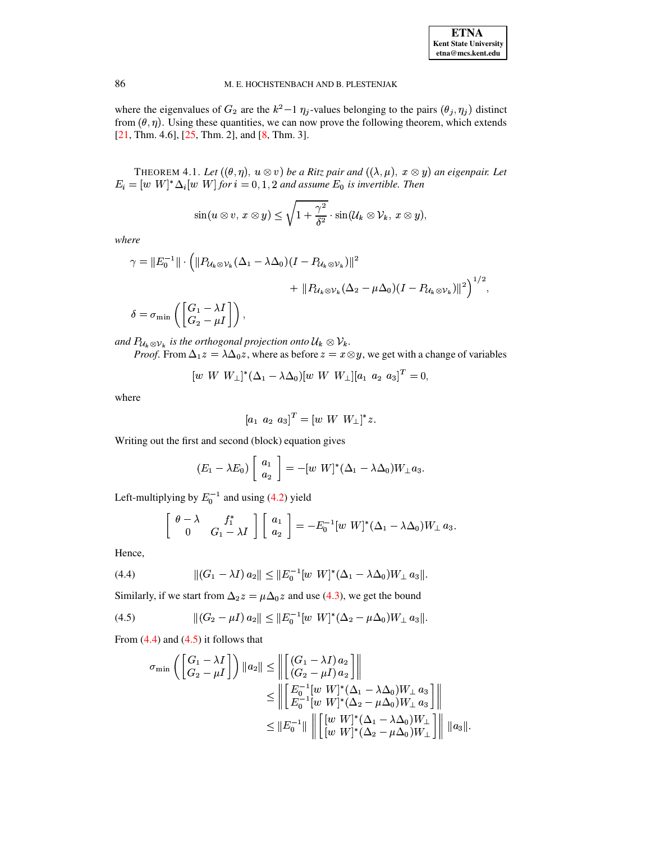where the eigenvalues of  $G_2$  are the  $k^2-1$   $\eta_j$ -values belonging to the pairs  $(\theta_j, \eta_j)$  distinct from  $(\theta, \eta)$ . Using these quantities, we can now prove the following theorem, which extends [21, Thm. 4.6], [25, Thm. 2], and [8, Thm. 3].

<span id="page-5-2"></span>THEOREM 4.1. Let  $((\theta, \eta), u \otimes v)$  be a Ritz pair and  $((\lambda, \mu), x \otimes y)$  an eigenpair. Let  $E_i = [w \ W]^* \Delta_i [w \ W]$  for  $i = 0, 1, 2$  and assume  $E_0$  is invertible. Then

$$
\sin(u\otimes v,\,x\otimes y)\leq \sqrt{1+\frac{\gamma^2}{\delta^2}}\cdot \sin(\mathcal{U}_k\otimes \mathcal{V}_k,\,x\otimes y),
$$

where

$$
\gamma = ||E_0^{-1}|| \cdot \left( ||P_{\mathcal{U}_k \otimes \mathcal{V}_k}(\Delta_1 - \lambda \Delta_0)(I - P_{\mathcal{U}_k \otimes \mathcal{V}_k})||^2 + ||P_{\mathcal{U}_k \otimes \mathcal{V}_k}(\Delta_2 - \mu \Delta_0)(I - P_{\mathcal{U}_k \otimes \mathcal{V}_k})||^2 \right)^{1/2},
$$
  

$$
\delta = \sigma_{\min} \left( \begin{bmatrix} G_1 - \lambda I \\ G_2 - \mu I \end{bmatrix} \right),
$$

and  $P_{\mathcal{U}_k \otimes \mathcal{V}_k}$  is the orthogonal projection onto  $\mathcal{U}_k \otimes \mathcal{V}_k$ .

*Proof.* From  $\Delta_1 z = \lambda \Delta_0 z$ , where as before  $z = x \otimes y$ , we get with a change of variables

$$
[w W W_{\perp}]^*(\Delta_1 - \lambda \Delta_0)[w W W_{\perp}] [a_1 a_2 a_3]^T = 0,
$$

where

$$
[a_1 \ \ a_2 \ \ a_3]^T = [w \ \ W \ \ W_\perp]^* z.
$$

Writing out the first and second (block) equation gives

$$
(E_1 - \lambda E_0) \left[ \begin{array}{c} a_1 \\ a_2 \end{array} \right] = -[w \ W]^* (\Delta_1 - \lambda \Delta_0) W_{\perp} a_3.
$$

Left-multiplying by  $E_0^{-1}$  and using (4.2) yield

$$
\left[\begin{array}{cc} \theta-\lambda & f_1^* \\ 0 & G_1-\lambda I \end{array}\right] \left[\begin{array}{c} a_1 \\ a_2 \end{array}\right] = -E_0^{-1}[w \ W]^*(\Delta_1-\lambda\Delta_0)W_{\perp} a_3.
$$

Hence,

<span id="page-5-0"></span>(4.4) 
$$
||(G_1 - \lambda I) a_2|| \leq ||E_0^{-1}[w \ W]^* (\Delta_1 - \lambda \Delta_0) W_{\perp} a_3||.
$$

Similarly, if we start from  $\Delta_2 z = \mu \Delta_0 z$  and use (4.3), we get the bound

<span id="page-5-1"></span>(4.5) 
$$
\| (G_2 - \mu I) a_2 \| \leq \| E_0^{-1} [w \ W]^* (\Delta_2 - \mu \Delta_0) W_{\perp} a_3 \|.
$$

From  $(4.4)$  and  $(4.5)$  it follows that

$$
\sigma_{\min} \left( \begin{bmatrix} G_1 - \lambda I \\ G_2 - \mu I \end{bmatrix} \right) \|a_2\| \le \left\| \begin{bmatrix} (G_1 - \lambda I) a_2 \\ (G_2 - \mu I) a_2 \end{bmatrix} \right\|
$$
  
\n
$$
\le \left\| \begin{bmatrix} E_0^{-1} [w W]^* (\Delta_1 - \lambda \Delta_0) W_{\perp} a_3 \\ E_0^{-1} [w W]^* (\Delta_2 - \mu \Delta_0) W_{\perp} a_3 \end{bmatrix} \right\|
$$
  
\n
$$
\le \|E_0^{-1}\| \left\| \begin{bmatrix} [w W]^* (\Delta_1 - \lambda \Delta_0) W_{\perp} \\ [w W]^* (\Delta_2 - \mu \Delta_0) W_{\perp} \end{bmatrix} \right\| \|a_3\|.
$$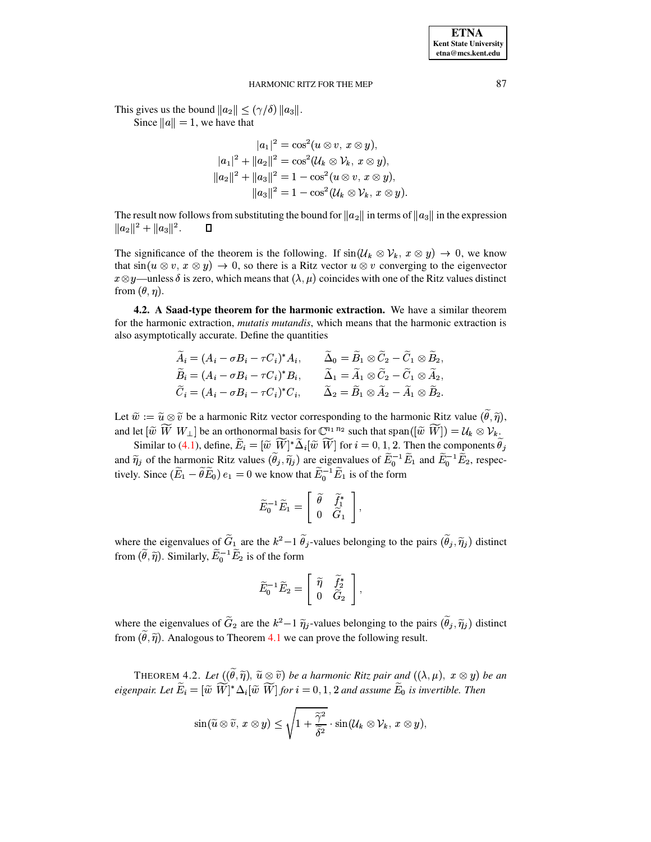This gives us the bound  $||a_2|| \leq (\gamma/\delta) ||a_3||$ .

Since  $||a|| = 1$ , we have that

$$
|a_1|^2 = \cos^2(u \otimes v, x \otimes y),
$$
  
\n
$$
|a_1|^2 + ||a_2||^2 = \cos^2(U_k \otimes V_k, x \otimes y),
$$
  
\n
$$
||a_2||^2 + ||a_3||^2 = 1 - \cos^2(u \otimes v, x \otimes y),
$$
  
\n
$$
||a_3||^2 = 1 - \cos^2(U_k \otimes V_k, x \otimes y)
$$

The result now follows from substituting the bound for  $||a_2||$  in terms of  $||a_3||$  in the expression  $||a_2||^2 + ||a_3||^2.$  $\Box$ 

The significance of the theorem is the following. If  $sin(\mathcal{U}_k \otimes \mathcal{V}_k, x \otimes y) \rightarrow 0$ , we know that  $\sin(u \otimes v, x \otimes y) \rightarrow 0$ , so there is a Ritz vector  $u \otimes v$  converging to the eigenvector  $x \otimes y$ —unless  $\delta$  is zero, which means that  $(\lambda, \mu)$  coincides with one of the Ritz values distinct from  $(\theta, \eta)$ .

4.2. A Saad-type theorem for the harmonic extraction. We have a similar theorem for the harmonic extraction, *mutatis mutandis*, which means that the harmonic extraction is also asymptotically accurate. Define the quantities

$$
\tilde{A}_i = (A_i - \sigma B_i - \tau C_i)^* A_i, \qquad \tilde{\Delta}_0 = \tilde{B}_1 \otimes \tilde{C}_2 - \tilde{C}_1 \otimes \tilde{B}_2, \n\tilde{B}_i = (A_i - \sigma B_i - \tau C_i)^* B_i, \qquad \tilde{\Delta}_1 = \tilde{A}_1 \otimes \tilde{C}_2 - \tilde{C}_1 \otimes \tilde{A}_2, \n\tilde{C}_i = (A_i - \sigma B_i - \tau C_i)^* C_i, \qquad \tilde{\Delta}_2 = \tilde{B}_1 \otimes \tilde{A}_2 - \tilde{A}_1 \otimes \tilde{B}_2.
$$

Let  $\tilde{w} := \tilde{u} \otimes \tilde{v}$  be a harmonic Ritz vector corresponding to the harmonic Ritz value  $(\tilde{\theta}, \tilde{\eta})$ , and let  $[\widetilde{w} \ \widetilde{W} \ W_{\perp}]$  be an orthonormal basis for  $\mathbb{C}^{n_1 n_2}$  such that span $([\widetilde{w} \ \widetilde{W}]) = U_k \otimes V_k$ .

Similar to (4.1), define,  $\widetilde{E}_i = [\widetilde{w} \ \widetilde{W}]^* \widetilde{\Delta}_i [\widetilde{w} \ \widetilde{W}]$  for  $i = 0, 1, 2$ . Then the components  $\widetilde{\theta}_i$ and  $\tilde{\eta}_j$  of the harmonic Ritz values  $(\tilde{\theta}_j, \tilde{\eta}_j)$  are eigenvalues of  $\tilde{E}_0^{-1} \tilde{E}_1$  and  $\tilde{E}_0^{-1} \tilde{E}_2$ , respectively. Since  $(\tilde{E}_1 - \tilde{\theta} \tilde{E}_0) e_1 = 0$  we know that  $\tilde{E}_0^{-1} \tilde{E}_1$  is of the fo

$$
\widetilde{E}_0^{-1}\widetilde{E}_1=\left[\begin{array}{cc} \widetilde{\theta} & \widetilde{f}_1^* \\ 0 & \widetilde{G}_1 \end{array}\right],
$$

where the eigenvalues of  $\tilde{G}_1$  are the  $k^2-1$   $\tilde{\theta}_j$ -values belonging to the pairs  $(\tilde{\theta}_j, \tilde{\eta}_j)$  distinct from  $(\tilde{\theta}, \tilde{\eta})$ . Similarly,  $\tilde{E}_0^{-1} \tilde{E}_2$  is of the form

$$
\widetilde{E}_0^{-1}\widetilde{E}_2=\left[\begin{array}{cc} \widetilde{\eta} & \widetilde{f}_2^* \\ 0 & \widetilde{G}_2 \end{array}\right],
$$

where the eigenvalues of  $\tilde{G}_2$  are the  $k^2-1$   $\tilde{\eta}_j$ -values belonging to the pairs  $(\tilde{\theta}_j, \tilde{\eta}_j)$  distinct from  $(\hat{\theta}, \hat{\eta})$ . Analogous to Theorem 4.1 we can prove the following result.

<span id="page-6-0"></span>THEOREM 4.2. Let  $((\tilde{\theta}, \tilde{\eta}), \tilde{u} \otimes \tilde{v})$  be a harmonic Ritz pair and  $((\lambda, \mu), x \otimes y)$  be an eigenpair. Let  $\widetilde{E}_i = [\widetilde{w} \ \widetilde{W}]^* \Delta_i [\widetilde{w} \ \widetilde{W}]$  for  $i = 0, 1, 2$  and assume  $\widetilde{E}_0$  is invertible. Then

$$
\sin(\widetilde{u}\otimes\widetilde{v},\,x\otimes y)\leq \sqrt{1+\frac{\widetilde{\gamma}^2}{\widetilde{\delta}^2}}\cdot\sin(\mathcal{U}_k\otimes \mathcal{V}_k,\,x\otimes y),
$$

87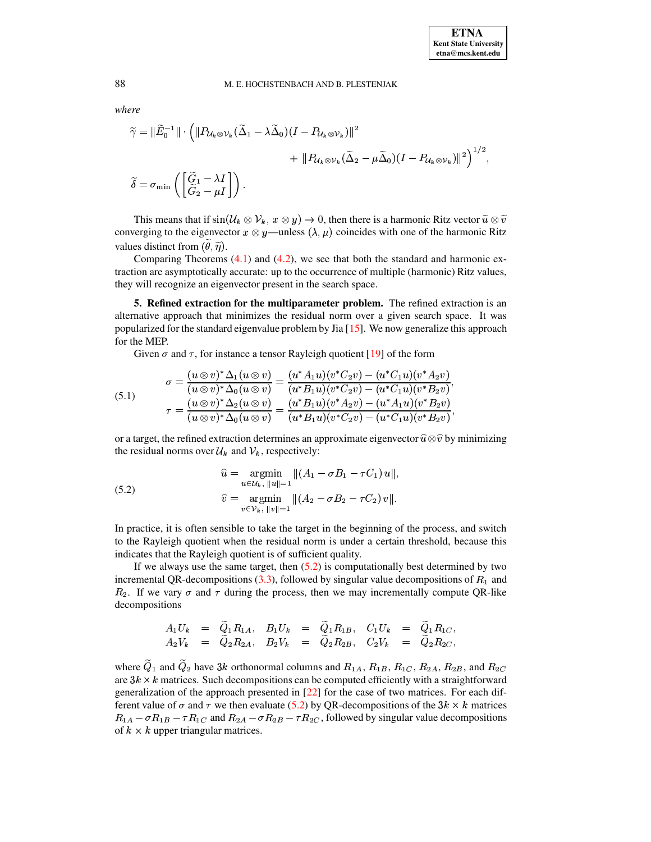where

$$
\widetilde{\gamma} = \|\widetilde{E}_0^{-1}\| \cdot \left( \|P_{\mathcal{U}_k \otimes \mathcal{V}_k}(\widetilde{\Delta}_1 - \lambda \widetilde{\Delta}_0)(I - P_{\mathcal{U}_k \otimes \mathcal{V}_k}) \|^2 + \|P_{\mathcal{U}_k \otimes \mathcal{V}_k}(\widetilde{\Delta}_2 - \mu \widetilde{\Delta}_0)(I - P_{\mathcal{U}_k \otimes \mathcal{V}_k}) \|^2 \right)^{1/2},
$$
  

$$
\widetilde{\delta} = \sigma_{\min} \left( \begin{bmatrix} \widetilde{G}_1 - \lambda I \\ \widetilde{G}_2 - \mu I \end{bmatrix} \right).
$$

This means that if  $\sin(\mathcal{U}_k \otimes \mathcal{V}_k, x \otimes y) \to 0$ , then there is a harmonic Ritz vector  $\tilde{u} \otimes \tilde{v}$ converging to the eigenvector  $x \otimes y$ —unless  $(\lambda, \mu)$  coincides with one of the harmonic Ritz values distinct from  $(\tilde{\theta}, \tilde{\eta})$ .

Comparing Theorems  $(4.1)$  and  $(4.2)$ , we see that both the standard and harmonic extraction are asymptotically accurate: up to the occurrence of multiple (harmonic) Ritz values, they will recognize an eigenvector present in the search space.

<span id="page-7-0"></span>5. Refined extraction for the multiparameter problem. The refined extraction is an alternative approach that minimizes the residual norm over a given search space. It was popularized for the standard eigenvalue problem by Jia  $[15]$ . We now generalize this approach for the MEP.

Given  $\sigma$  and  $\tau$ , for instance a tensor Rayleigh quotient [19] of the form

<span id="page-7-2"></span>(5.1) 
$$
\sigma = \frac{(u \otimes v)^* \Delta_1(u \otimes v)}{(u \otimes v)^* \Delta_0(u \otimes v)} = \frac{(u^* A_1 u)(v^* C_2 v) - (u^* C_1 u)(v^* A_2 v)}{(u^* B_1 u)(v^* C_2 v) - (u^* C_1 u)(v^* B_2 v)} \tau = \frac{(u \otimes v)^* \Delta_2(u \otimes v)}{(u \otimes v)^* \Delta_0(u \otimes v)} = \frac{(u^* B_1 u)(v^* A_2 v) - (u^* A_1 u)(v^* B_2 v)}{(u^* B_1 u)(v^* C_2 v) - (u^* C_1 u)(v^* B_2 v)}
$$

or a target, the refined extraction determines an approximate eigenvector  $\hat{u} \otimes \hat{v}$  by minimizing the residual norms over  $\mathcal{U}_k$  and  $\mathcal{V}_k$ , respectively:

<span id="page-7-1"></span>(5.2) 
$$
\hat{u} = \underset{u \in \mathcal{U}_k, \ \|u\| = 1}{\operatorname{argmin}} \|(A_1 - \sigma B_1 - \tau C_1) u\|,
$$

$$
\hat{v} = \underset{v \in \mathcal{V}_k, \ \|v\| = 1}{\operatorname{argmin}} \|(A_2 - \sigma B_2 - \tau C_2) v\|.
$$

In practice, it is often sensible to take the target in the beginning of the process, and switch to the Rayleigh quotient when the residual norm is under a certain threshold, because this indicates that the Rayleigh quotient is of sufficient quality.

If we always use the same target, then  $(5.2)$  is computationally best determined by two incremental QR-decompositions  $(3.3)$ , followed by singular value decompositions of  $R_1$  and  $R_2$ . If we vary  $\sigma$  and  $\tau$  during the process, then we may incrementally compute QR-like decompositions

$$
\begin{array}{rclcrcl} A_1U_k&=&\widetilde{Q}_1R_{1A},&B_1U_k&=&\widetilde{Q}_1R_{1B},&C_1U_k&=&\widetilde{Q}_1R_{1C},\\ A_2V_k&=&\widetilde{Q}_2R_{2A},&B_2V_k&=&\widetilde{Q}_2R_{2B},&C_2V_k&=&\widetilde{Q}_2R_{2C}, \end{array}
$$

where  $\tilde{Q}_1$  and  $\tilde{Q}_2$  have 3k orthonormal columns and  $R_{1A}$ ,  $R_{1B}$ ,  $R_{1C}$ ,  $R_{2A}$ ,  $R_{2B}$ , and  $R_{2C}$ are  $3k \times k$  matrices. Such decompositions can be computed efficiently with a straightforward generalization of the approach presented in  $[22]$  for the case of two matrices. For each different value of  $\sigma$  and  $\tau$  we then evaluate (5.2) by QR-decompositions of the 3k  $\times$  k matrices  $R_{1A} - \sigma R_{1B} - \tau R_{1C}$  and  $R_{2A} - \sigma R_{2B} - \tau R_{2C}$ , followed by singular value decompositions of  $k \times k$  upper triangular matrices.

88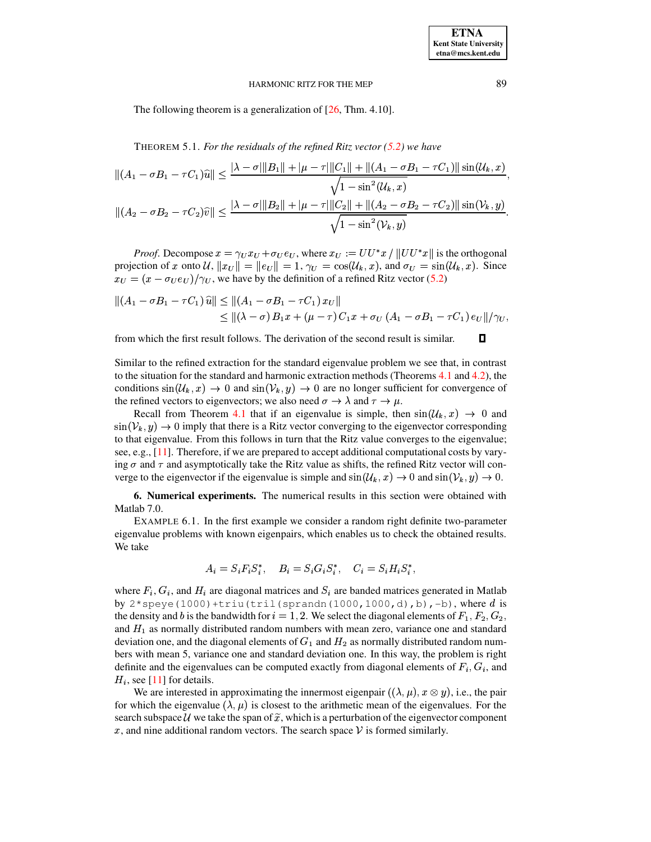The following theorem is a generalization of  $[26, Thm. 4.10]$ .

THEOREM 5.1. For the residuals of the refined Ritz vector  $(5.2)$  we have

$$
||(A_1 - \sigma B_1 - \tau C_1)\hat{u}|| \le \frac{|\lambda - \sigma| ||B_1|| + |\mu - \tau| ||C_1|| + ||(A_1 - \sigma B_1 - \tau C_1)||\sin(\mathcal{U}_k, x)}{\sqrt{1 - \sin^2(\mathcal{U}_k, x)}}
$$
  

$$
||(A_2 - \sigma B_2 - \tau C_2)\hat{v}|| \le \frac{|\lambda - \sigma| ||B_2|| + |\mu - \tau| ||C_2|| + ||(A_2 - \sigma B_2 - \tau C_2)||\sin(\mathcal{V}_k, y)}{\sqrt{1 - \sin^2(\mathcal{V}_k, y)}}
$$

*Proof.* Decompose  $x = \gamma_U x_U + \sigma_U e_U$ , where  $x_U := U U^* x / ||U U^* x||$  is the orthogonal projection of x onto U,  $||x_U|| = ||e_U|| = 1$ ,  $\gamma_U = \cos(\mathcal{U}_k, x)$ , and  $\sigma_U = \sin(\mathcal{U}_k, x)$ . Since  $x_U = (x - \sigma_U e_U)/\gamma_U$ , we have by the definition of a refined Ritz vector (5.2)

$$
||(A_1 - \sigma B_1 - \tau C_1) \hat{u}|| \le ||(A_1 - \sigma B_1 - \tau C_1) x_U||
$$
  
\$\le ||(\lambda - \sigma) B\_1 x + (\mu - \tau) C\_1 x + \sigma\_U (A\_1 - \sigma B\_1 - \tau C\_1) e\_U||/\gamma\_U,\$

from which the first result follows. The derivation of the second result is similar.

Similar to the refined extraction for the standard eigenvalue problem we see that, in contrast to the situation for the standard and harmonic extraction methods (Theorems 4.1 and 4.2), the conditions  $sin(\mathcal{U}_k, x) \rightarrow 0$  and  $sin(\mathcal{V}_k, y) \rightarrow 0$  are no longer sufficient for convergence of the refined vectors to eigenvectors; we also need  $\sigma \to \lambda$  and  $\tau \to \mu$ .

Recall from Theorem 4.1 that if an eigenvalue is simple, then  $sin(\mathcal{U}_k, x) \rightarrow 0$  and  $\sin(\mathcal{V}_k, y) \rightarrow 0$  imply that there is a Ritz vector converging to the eigenvector corresponding to that eigenvalue. From this follows in turn that the Ritz value converges to the eigenvalue; see, e.g.,  $[11]$ . Therefore, if we are prepared to accept additional computational costs by varying  $\sigma$  and  $\tau$  and asymptotically take the Ritz value as shifts, the refined Ritz vector will converge to the eigenvector if the eigenvalue is simple and  $sin(\mathcal{U}_k, x) \rightarrow 0$  and  $sin(\mathcal{V}_k, y) \rightarrow 0$ .

<span id="page-8-1"></span><span id="page-8-0"></span>6. Numerical experiments. The numerical results in this section were obtained with Matlab 7.0.

EXAMPLE 6.1. In the first example we consider a random right definite two-parameter eigenvalue problems with known eigenpairs, which enables us to check the obtained results. We take

$$
A_i = S_i F_i S_i^*, \quad B_i = S_i G_i S_i^*, \quad C_i = S_i H_i S_i^*,
$$

where  $F_i$ ,  $G_i$ , and  $H_i$  are diagonal matrices and  $S_i$  are banded matrices generated in Matlab by  $2*$  speye (1000) + triu (tril (sprandn(1000, 1000, d), b), -b), where d is the density and b is the bandwidth for  $i = 1, 2$ . We select the diagonal elements of  $F_1, F_2, G_2$ , and  $H_1$  as normally distributed random numbers with mean zero, variance one and standard deviation one, and the diagonal elements of  $G_1$  and  $H_2$  as normally distributed random numbers with mean 5, variance one and standard deviation one. In this way, the problem is right definite and the eigenvalues can be computed exactly from diagonal elements of  $F_i$ ,  $G_i$ , and  $H_i$ , see [11] for details.

We are interested in approximating the innermost eigenpair  $((\lambda,\mu), x \otimes y)$ , i.e., the pair for which the eigenvalue  $(\lambda, \mu)$  is closest to the arithmetic mean of the eigenvalues. For the search subspace U we take the span of  $\tilde{x}$ , which is a perturbation of the eigenvector component x, and nine additional random vectors. The search space  $\mathcal V$  is formed similarly.

89

 $\Box$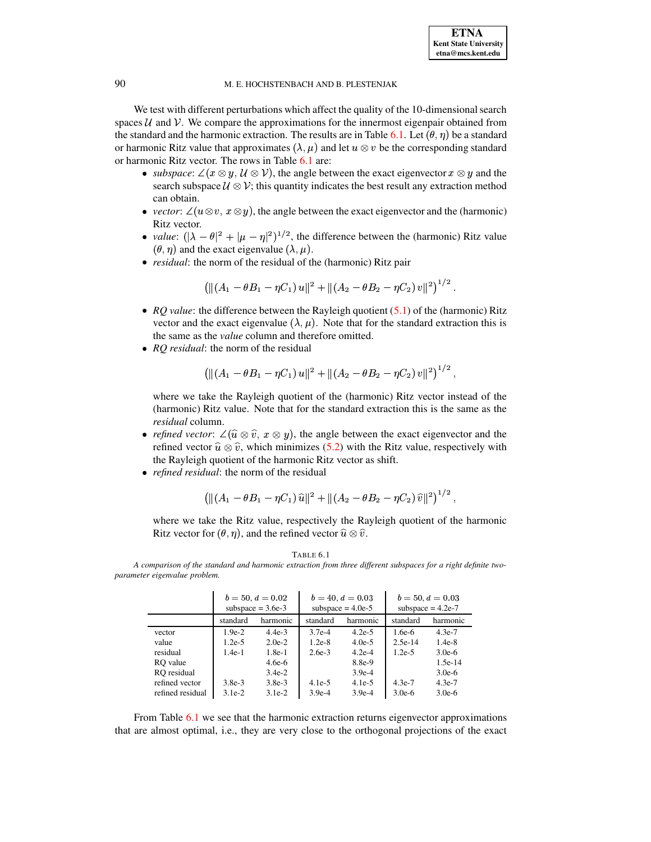We test with different perturbations which affect the quality of the 10-dimensional search spaces  $U$  and  $V$ . We compare the approximations for the innermost eigenpair obtained from the standard and the harmonic extraction. The results are in Table [6.1.](#page-9-0) Let  $(\theta, \eta)$  be a standard or harmonic Ritz value that approximates  $(\lambda, \mu)$  and let  $u \otimes v$  be the corresponding standard or harmonic Ritz vector. The rows in Table [6.1](#page-9-0) are:

- subspace:  $\angle(x \otimes y, \mathcal{U} \otimes \mathcal{V})$ , the angle between the exact eigenvector  $x \otimes y$  and the search subspace  $\mathcal{U} \otimes \mathcal{V}$ ; this quantity indicates the best result any extraction method can obtain.
- *vector*:  $\angle(u \otimes v, x \otimes y)$ , the angle between the exact eigenvector and the (harmonic) Ritz vector.
- value:  $(|\lambda \theta|^2 + |\mu \eta|^2)^{1/2}$ , the difference between the (harmonic) Ritz value  $(\theta, \eta)$  and the exact eigenvalue  $(\lambda, \mu)$ .
- <sup>|</sup> *residual*: the norm of the residual of the (harmonic) Ritz pair

$$
\left(\|(A_1-\theta B_1-\eta C_1)\,u\|^2+\|(A_2-\theta B_2-\eta C_2)\,v\|^2\right)^{1/2}.
$$

- RQ *value*: the difference between the Rayleigh quotient [\(5.1\)](#page-7-2) of the (harmonic) Ritz vector and the exact eigenvalue  $(\lambda, \mu)$ . Note that for the standard extraction this is the same as the *value* column and therefore omitted.
- *RQ residual*: the norm of the residual

$$
\left(\|(A_1-\theta B_1-\eta C_1) u\|^2+\|(A_2-\theta B_2-\eta C_2) v\|^2\right)^{1/2},\right.
$$

where we take the Rayleigh quotient of the (harmonic) Ritz vector instead of the (harmonic) Ritz value. Note that for the standard extraction this is the same as the *residual* column.

- *refined vector*:  $\angle(\widehat{u} \otimes \widehat{v}, x \otimes y)$ , the angle between the exact eigenvector and the refined vector  $\hat{u} \otimes \hat{v}$ , which minimizes [\(5.2\)](#page-7-1) with the Ritz value, respectively with the Rayleigh quotient of the harmonic Ritz vector as shift.
- <sup>|</sup> *refined residual*: the norm of the residual

$$
\left( \|(A_1 - \theta B_1 - \eta C_1) \,\widehat{u}\|^2 + \|(A_2 - \theta B_2 - \eta C_2) \,\widehat{v}\|^2 \right)^{1/2},
$$

where we take the Ritz value, respectively the Rayleigh quotient of the harmonic Ritz vector for  $({\theta}, {\eta})$ , and the refined vector  $\widehat{u} \otimes \widehat{v}$ .  $\blacksquare$ 

TABLE 6.1

<span id="page-9-0"></span>A comparison of the standard and harmonic extraction from three different subspaces for a right definite two*parameter* eigenvalue problem.

| $\ldots$         |          |                                           |          |                                           |                                           |           |  |
|------------------|----------|-------------------------------------------|----------|-------------------------------------------|-------------------------------------------|-----------|--|
|                  |          | $b = 50, d = 0.02$<br>subspace $= 3.6e-3$ |          | $b = 40, d = 0.03$<br>subspace $= 4.0e-5$ | $b = 50, d = 0.03$<br>subspace $= 4.2e-7$ |           |  |
|                  | standard | harmonic                                  | standard | harmonic                                  | standard                                  | harmonic  |  |
| vector           | $1.9e-2$ | $4.4e-3$                                  | $3.7e-4$ | $4.2e-5$                                  | $1.6e-6$                                  | $4.3e-7$  |  |
| value            | $1.2e-5$ | $2.0e-2$                                  | $1.2e-8$ | $4.0e-5$                                  | $2.5e-14$                                 | $1.4e-8$  |  |
| residual         | $1.4e-1$ | $1.8e-1$                                  | $2.6e-3$ | $4.2e-4$                                  | $1.2e-5$                                  | $3.0e-6$  |  |
| RO value         |          | $4.6e-6$                                  |          | 8.8e-9                                    |                                           | $1.5e-14$ |  |
| RO residual      |          | $3.4e-2$                                  |          | $3.9e-4$                                  |                                           | $3.0e-6$  |  |
| refined vector   | $3.8e-3$ | $3.8e-3$                                  | $4.1e-5$ | $4.1e-5$                                  | $4.3e-7$                                  | $4.3e-7$  |  |
| refined residual | $3.1e-2$ | $3.1e-2$                                  | $3.9e-4$ | $3.9e-4$                                  | $3.0e-6$                                  | $3.0e-6$  |  |

From Table [6.1](#page-9-0) we see that the harmonic extraction returns eigenvector approximations that are almost optimal, i.e., they are very close to the orthogonal projections of the exact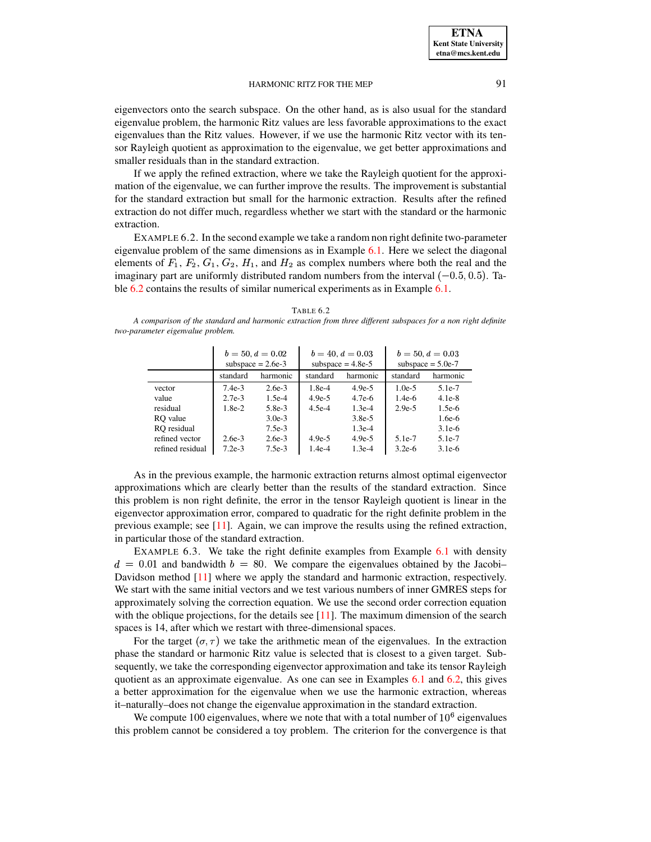eigenvectors onto the search subspace. On the other hand, as is also usual for the standard eigenvalue problem, the harmonic Ritz values are less favorable approximations to the exact eigenvalues than the Ritz values. However, if we use the harmonic Ritz vector with its tensor Rayleigh quotient as approximation to the eigenvalue, we get better approximations and smaller residuals than in the standard extraction.

If we apply the refined extraction, where we take the Rayleigh quotient for the approximation of the eigenvalue, we can further improve the results. The improvement is substantial for the standard extraction but small for the harmonic extraction. Results after the refined extraction do not differ much, regardless whether we start with the standard or the harmonic extraction.

<span id="page-10-1"></span>EXAMPLE 6.2. In the second example we take a random non right definite two-parameter eigenvalue problem of the same dimensions as in Example [6.1.](#page-8-1) Here we select the diagonal elements of  $F_1$ ,  $F_2$ ,  $G_1$ ,  $G_2$ ,  $H_1$ , and  $H_2$  as complex numbers where both the real and the imaginary part are uniformly distributed random numbers from the interval  $(-0.5, 0.5)$ . Table [6.2](#page-10-0) contains the results of similar numerical experiments as in Example [6.1.](#page-8-1)

| TABLE 6. |  |
|----------|--|
|----------|--|

<span id="page-10-0"></span>A comparison of the standard and harmonic extraction from three different subspaces for a non right definite *two-parameter eigenvalue problem.*

|                  |          | $b = 50, d = 0.02$<br>subspace $= 2.6e-3$ |          | $b = 40, d = 0.03$<br>subspace $= 4.8e-5$ | $b = 50, d = 0.03$<br>subspace $= 5.0e-7$ |          |  |
|------------------|----------|-------------------------------------------|----------|-------------------------------------------|-------------------------------------------|----------|--|
|                  | standard | harmonic                                  | standard | harmonic                                  | standard                                  | harmonic |  |
| vector           | $7.4e-3$ | $2.6e-3$                                  | $1.8e-4$ | $4.9e-5$                                  | $1.0e-5$                                  | 5.1e-7   |  |
| value            | $2.7e-3$ | $1.5e-4$                                  | $4.9e-5$ | 4.7e-6                                    | $1.4e-6$                                  | $4.1e-8$ |  |
| residual         | $1.8e-2$ | $5.8e-3$                                  | $4.5e-4$ | $1.3e-4$                                  | $2.9e-5$                                  | $1.5e-6$ |  |
| RO value         |          | $3.0e-3$                                  |          | $3.8e-5$                                  |                                           | $1.6e-6$ |  |
| RO residual      |          | $7.5e-3$                                  |          | $1.3e-4$                                  |                                           | $3.1e-6$ |  |
| refined vector   | $2.6e-3$ | $2.6e-3$                                  | $4.9e-5$ | $4.9e-5$                                  | $5.1e-7$                                  | 5.1e-7   |  |
| refined residual | $7.2e-3$ | $7.5e-3$                                  | $1.4e-4$ | $1.3e-4$                                  | $3.2e-6$                                  | $3.1e-6$ |  |

As in the previous example, the harmonic extraction returns almost optimal eigenvector approximations which are clearly better than the results of the standard extraction. Since this problem is non right definite, the error in the tensor Rayleigh quotient is linear in the eigenvector approximation error, compared to quadratic for the right definite problem in the previous example; see [\[11\]](#page-15-7). Again, we can improve the results using the refined extraction, in particular those of the standard extraction.

<span id="page-10-2"></span>EXAMPLE 6.3. We take the right definite examples from Example [6.1](#page-8-1) with density  $d = 0.01$  and bandwidth  $b = 80$ . We compare the eigenvalues obtained by the Jacobi– Davidson method [\[11\]](#page-15-7) where we apply the standard and harmonic extraction, respectively. We start with the same initial vectors and we test various numbers of inner GMRES steps for approximately solving the correction equation. We use the second order correction equation with the oblique projections, for the details see  $[11]$ . The maximum dimension of the search spaces is 14, after which we restart with three-dimensional spaces.

For the target  $({\sigma}, {\tau})$  we take the arithmetic mean of the eigenvalues. In the extraction phase the standard or harmonic Ritz value is selected that is closest to a given target. Subsequently, we take the corresponding eigenvector approximation and take its tensor Rayleigh quotient as an approximate eigenvalue. As one can see in Examples [6.1](#page-8-1) and [6.2,](#page-10-1) this gives a better approximation for the eigenvalue when we use the harmonic extraction, whereas it–naturally–does not change the eigenvalue approximation in the standard extraction.

We compute 100 eigenvalues, where we note that with a total number of  $10^6$  eigenvalues this problem cannot be considered a toy problem. The criterion for the convergence is that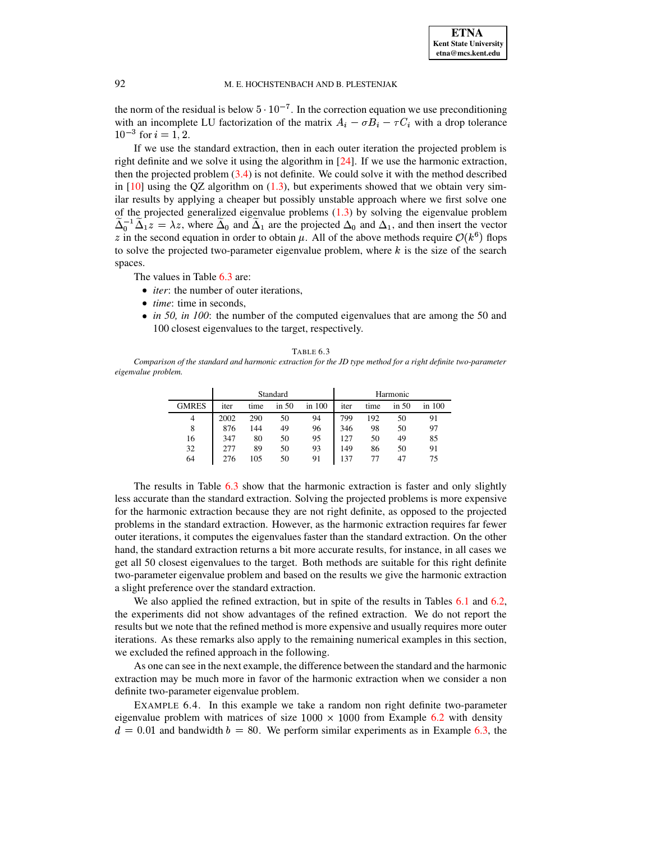the norm of the residual is below  $5 \cdot 10^{-7}$ . In the correction equation we use preconditioning with an incomplete LU factorization of the matrix  $A_i - \sigma B_i - \tau C_i$  with a drop tolerance  $10^{-3}$  for  $i = 1, 2$ .

If we use the standard extraction, then in each outer iteration the projected problem is right definite and we solve it using the algorithm in [\[24\]](#page-15-2). If we use the harmonic extraction, then the projected problem  $(3.4)$  is not definite. We could solve it with the method described in  $[10]$  using the QZ algorithm on  $(1.3)$ , but experiments showed that we obtain very similar results by applying a cheaper but possibly unstable approach where we first solve one of the projected generalized eigenvalue problems  $(1.3)$  by solving the eigenvalue problem  $\tilde{\Delta}_1^-\tilde{\Delta}_1z = \lambda z$ , where  $\tilde{\Delta}_0$  and  $\tilde{\Delta}_1$  are the projected  $\Delta_0$  and  $\Delta_1$ , and then insert the vector z in the second equation in order to obtain  $\mu$ . All of the above methods require  $\mathcal{O}(k^6)$  flops to solve the projected two-parameter eigenvalue problem, where  $k$  is the size of the search spaces.

The values in Table [6.3](#page-11-0) are:

- *iter*: the number of outer iterations,
- <sup>|</sup> *time*: time in seconds,
- <sup>|</sup> *in 50, in 100*: the number of the computed eigenvalues that are among the 50 and 100 closest eigenvalues to the target, respectively.

| Table 6.3 |  |
|-----------|--|
|-----------|--|

<span id="page-11-0"></span>Comparison of the standard and harmonic extraction for the JD type method for a right definite two-parameter *eigenvalue problem.*

|              |      |      | Standard |        | Harmonic |      |           |        |
|--------------|------|------|----------|--------|----------|------|-----------|--------|
| <b>GMRES</b> | iter | time | in $50$  | in 100 | iter     | time | $\sin 50$ | in 100 |
| 4            | 2002 | 290  | 50       | 94     | 799      | 192  | 50        | 91     |
| 8            | 876  | 144  | 49       | 96     | 346      | 98   | 50        | 97     |
| 16           | 347  | 80   | 50       | 95     | 127      | 50   | 49        | 85     |
| 32           | 277  | 89   | 50       | 93     | 149      | 86   | 50        | 91     |
| 64           | 276  | 105  | 50       | 91     | 137      |      | 47        | 75     |

The results in Table [6.3](#page-11-0) show that the harmonic extraction is faster and only slightly less accurate than the standard extraction. Solving the projected problems is more expensive for the harmonic extraction because they are not right definite, as opposed to the projected problems in the standard extraction. However, as the harmonic extraction requires far fewer outer iterations, it computes the eigenvalues faster than the standard extraction. On the other hand, the standard extraction returns a bit more accurate results, for instance, in all cases we get all 50 closest eigenvalues to the target. Both methods are suitable for this right definite two-parameter eigenvalue problem and based on the results we give the harmonic extraction a slight preference over the standard extraction.

We also applied the refined extraction, but in spite of the results in Tables [6.1](#page-9-0) and [6.2,](#page-10-0) the experiments did not show advantages of the refined extraction. We do not report the results but we note that the refined method is more expensive and usually requires more outer iterations. As these remarks also apply to the remaining numerical examples in this section, we excluded the refined approach in the following.

As one can see in the next example, the difference between the standard and the harmonic extraction may be much more in favor of the harmonic extraction when we consider a non definite two-parameter eigenvalue problem.

EXAMPLE 6.4. In this example we take a random non right definite two-parameter eigenvalue problem with matrices of size  $1000 \times 1000$  from Example [6.2](#page-10-1) with density  $d = 0.01$  and bandwidth  $b = 80$ . We perform similar experiments as in Example [6.3,](#page-10-2) the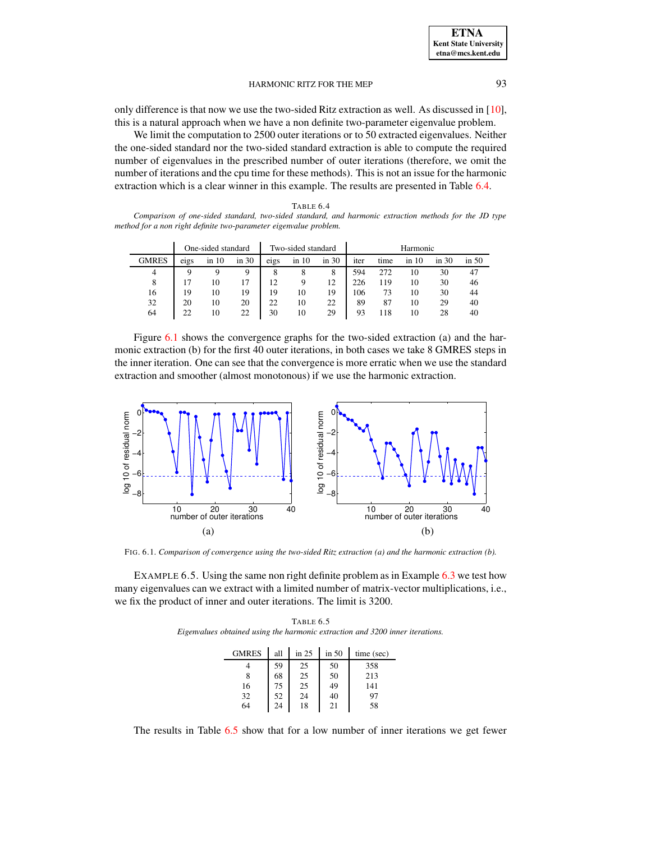only difference is that now we use the two-sided Ritz extraction as well. As discussed in [\[10\]](#page-15-1), this is a natural approach when we have a non definite two-parameter eigenvalue problem.

We limit the computation to 2500 outer iterations or to 50 extracted eigenvalues. Neither the one-sided standard nor the two-sided standard extraction is able to compute the required number of eigenvalues in the prescribed number of outer iterations (therefore, we omit the number of iterations and the cpu time for these methods). This is not an issue for the harmonic extraction which is a clear winner in this example. The results are presented in Table [6.4.](#page-12-0)

<span id="page-12-0"></span>

| <b>TABLE 6.4</b>                                                                                      |  |
|-------------------------------------------------------------------------------------------------------|--|
| Comparison of one-sided standard, two-sided standard, and harmonic extraction methods for the JD type |  |
| method for a non right definite two-parameter eigenvalue problem.                                     |  |

|              |      | One-sided standard |       |      | Two-sided standard |       | Harmonic |      |           |           |         |
|--------------|------|--------------------|-------|------|--------------------|-------|----------|------|-----------|-----------|---------|
| <b>GMRES</b> | eigs | in 10              | in 30 | eigs | $\sin 10$          | in 30 | iter     | time | $\sin 10$ | $\sin 30$ | in $50$ |
| 4            | Q    | Q                  | Q     | 8    | 8                  | 8     | 594      | 272  | 10        | 30        | 47      |
| 8            |      | 10                 | 17    | 12   | 9                  | 12    | 226      | 119  | 10        | 30        | 46      |
| 16           | 19   | 10                 | 19    | 19   | 10                 | 19    | 106      | 73   | 10        | 30        | 44      |
| 32           | 20   | 10                 | 20    | 22   | 10                 | 22    | 89       | 87   | 10        | 29        | 40      |
| 64           | 22   | 10                 | 22    | 30   | 10                 | 29    | 93       | 18   | 10        | 28        | 40      |

Figure [6.1](#page-12-1) shows the convergence graphs for the two-sided extraction (a) and the harmonic extraction (b) for the first 40 outer iterations, in both cases we take 8 GMRES steps in the inner iteration. One can see that the convergence is more erratic when we use the standard extraction and smoother (almost monotonous) if we use the harmonic extraction.



FIG. 6.1. *Comparison of convergence using the two-sided Ritz extraction (a) and the harmonic extraction (b).*

<span id="page-12-2"></span><span id="page-12-1"></span>EXAMPLE 6.5. Using the same non right definite problem as in Example [6.3](#page-10-2) we test how many eigenvalues can we extract with a limited number of matrix-vector multiplications, i.e., we fix the product of inner and outer iterations. The limit is 3200.

TABLE 6.5 *Eigenvalues obtained using the harmonic extraction and 3200 inner iterations.*

| GMRES | all | in $25$ | in 50 | time (sec) |
|-------|-----|---------|-------|------------|
|       | 59  | 25      | 50    | 358        |
| 8     | 68  | 25      | 50    | 213        |
| 16    | 75  | 25      | 49    | 141        |
| 32    | 52  | 24      | 40    | 97         |
| 64    | 24  | 18      | 21    | 58         |

The results in Table [6.5](#page-12-2) show that for a low number of inner iterations we get fewer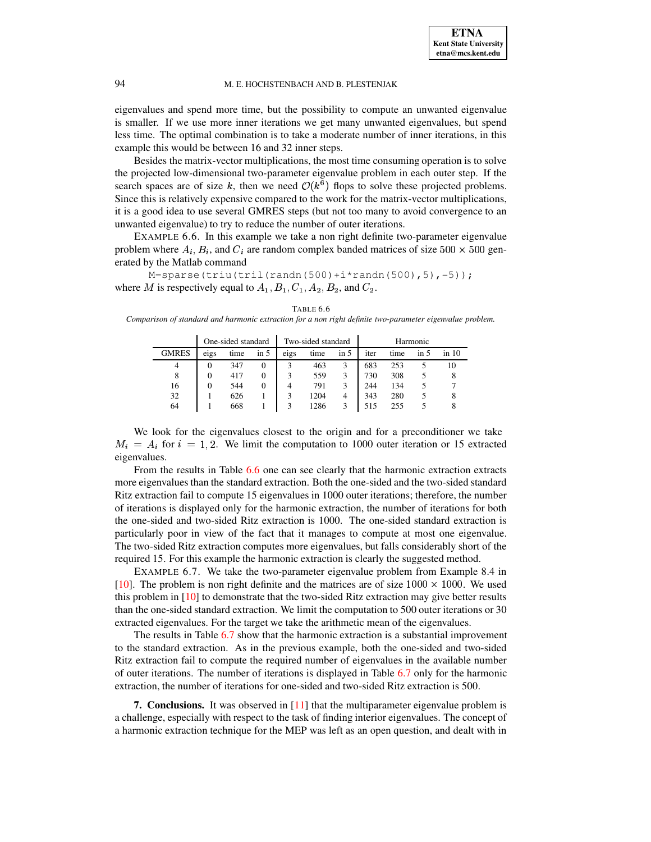eigenvalues and spend more time, but the possibility to compute an unwanted eigenvalue is smaller. If we use more inner iterations we get many unwanted eigenvalues, but spend less time. The optimal combination is to take a moderate number of inner iterations, in this example this would be between 16 and 32 inner steps.

Besides the matrix-vector multiplications, the most time consuming operation is to solve the projected low-dimensional two-parameter eigenvalue problem in each outer step. If the search spaces are of size k, then we need  $O(k^6)$  flops to solve these projected problems. Since this is relatively expensive compared to the work for the matrix-vector multiplications, it is a good idea to use several GMRES steps (but not too many to avoid convergence to an unwanted eigenvalue) to try to reduce the number of outer iterations.

EXAMPLE 6.6. In this example we take a non right definite two-parameter eigenvalue problem where  $A_i, B_i$ , and  $C_i$  are random complex banded matrices of size  $500 \times 500$  generated by the Matlab command

M=sparse(triu(tril(randn(500)+i\*randn(500),5),-5)); where M is respectively equal to  $A_1, B_1, C_1, A_2, B_2$ , and  $C_2$ .

|              | One-sided standard |      |          | Two-sided standard |      |          | Harmonic |      |      |           |
|--------------|--------------------|------|----------|--------------------|------|----------|----------|------|------|-----------|
| <b>GMRES</b> | eigs               | time | $\sin 5$ | eigs               | time | $\sin 5$ | iter     | time | in 5 | $\sin 10$ |
|              |                    | 347  | 0        |                    | 463  | 3        | 683      | 253  |      | 10        |
| 8            | $\theta$           | 417  | $\theta$ | 3                  | 559  | 3        | 730      | 308  |      |           |
| 16           |                    | 544  | $\theta$ | 4                  | 791  |          | 244      | 134  |      |           |
| 32           |                    | 626  |          |                    | 1204 | 4        | 343      | 280  |      |           |
| 64           |                    | 668  |          |                    | 1286 |          | 515      | 255  |      |           |

<span id="page-13-1"></span>TABLE 6.6 *Comparison of standard and harmonic extraction for a non right definite two-parameter eigenvalue problem.*

We look for the eigenvalues closest to the origin and for a preconditioner we take  $M_i = A_i$  for  $i = 1, 2$ . We limit the computation to 1000 outer iteration or 15 extracted eigenvalues.

From the results in Table [6.6](#page-13-1) one can see clearly that the harmonic extraction extracts more eigenvalues than the standard extraction. Both the one-sided and the two-sided standard Ritz extraction fail to compute 15 eigenvalues in 1000 outer iterations; therefore, the number of iterations is displayed only for the harmonic extraction, the number of iterations for both the one-sided and two-sided Ritz extraction is 1000. The one-sided standard extraction is particularly poor in view of the fact that it manages to compute at most one eigenvalue. The two-sided Ritz extraction computes more eigenvalues, but falls considerably short of the required 15. For this example the harmonic extraction is clearly the suggested method.

EXAMPLE 6.7. We take the two-parameter eigenvalue problem from Example 8.4 in [\[10\]](#page-15-1). The problem is non right definite and the matrices are of size  $1000 \times 1000$ . We used this problem in [\[10\]](#page-15-1) to demonstrate that the two-sided Ritz extraction may give better results than the one-sided standard extraction. We limit the computation to 500 outer iterations or 30 extracted eigenvalues. For the target we take the arithmetic mean of the eigenvalues.

The results in Table [6.7](#page-14-7) show that the harmonic extraction is a substantial improvement to the standard extraction. As in the previous example, both the one-sided and two-sided Ritz extraction fail to compute the required number of eigenvalues in the available number of outer iterations. The number of iterations is displayed in Table [6.7](#page-14-7) only for the harmonic extraction, the number of iterations for one-sided and two-sided Ritz extraction is 500.

<span id="page-13-0"></span>**7. Conclusions.** It was observed in [\[11\]](#page-15-7) that the multiparameter eigenvalue problem is a challenge, especially with respect to the task of finding interior eigenvalues. The concept of a harmonic extraction technique for the MEP was left as an open question, and dealt with in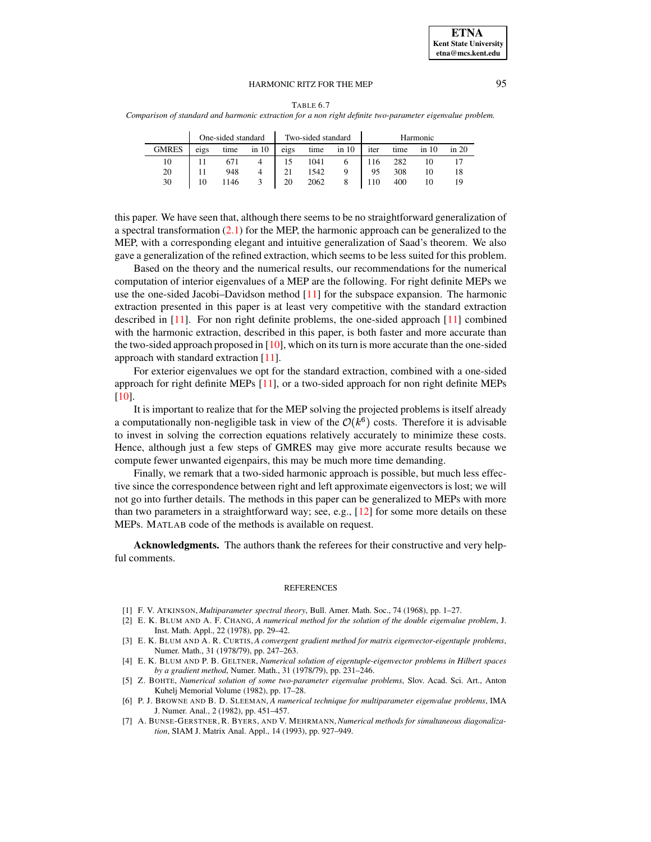| BLE 6.<br>`A` |  |
|---------------|--|
|---------------|--|

<span id="page-14-7"></span>*Comparison of standard and harmonic extraction for a non right definite two-parameter eigenvalue problem.*

|              | One-sided standard |      |           |      | Two-sided standard |           | Harmonic |      |       |       |
|--------------|--------------------|------|-----------|------|--------------------|-----------|----------|------|-------|-------|
| <b>GMRES</b> | eigs               | time | $\sin 10$ | eigs | time               | $\sin 10$ | iter     | time | in 10 | in 20 |
| 10           |                    |      |           | 15   | 1041               |           | 116      | 282  |       |       |
| 20           |                    | 948  |           | 21   | 1542               |           | 95       | 308  |       |       |
| 30           | 10                 | 1146 |           | 20   | 2062               |           | 110      | 400  | 10    | 19    |

this paper. We have seen that, although there seems to be no straightforward generalization of a spectral transformation  $(2.1)$  for the MEP, the harmonic approach can be generalized to the MEP, with a corresponding elegant and intuitive generalization of Saad's theorem. We also gave a generalization of the refined extraction, which seems to be less suited for this problem.

Based on the theory and the numerical results, our recommendations for the numerical computation of interior eigenvalues of a MEP are the following. For right definite MEPs we use the one-sided Jacobi–Davidson method  $[11]$  for the subspace expansion. The harmonic extraction presented in this paper is at least very competitive with the standard extraction described in [\[11\]](#page-15-7). For non right definite problems, the one-sided approach [\[11\]](#page-15-7) combined with the harmonic extraction, described in this paper, is both faster and more accurate than the two-sided approach proposed in  $[10]$ , which on its turn is more accurate than the one-sided approach with standard extraction [\[11\]](#page-15-7).

For exterior eigenvalues we opt for the standard extraction, combined with a one-sided approach for right definite MEPs [\[11\]](#page-15-7), or a two-sided approach for non right definite MEPs [\[10\]](#page-15-1).

It is important to realize that for the MEP solving the projected problems is itself already a computationally non-negligible task in view of the  $\mathcal{O}(k^6)$  costs. Therefore it is advisable to invest in solving the correction equations relatively accurately to minimize these costs. Hence, although just a few steps of GMRES may give more accurate results because we compute fewer unwanted eigenpairs, this may be much more time demanding.

Finally, we remark that a two-sided harmonic approach is possible, but much less effective since the correspondence between right and left approximate eigenvectors is lost; we will not go into further details. The methods in this paper can be generalized to MEPs with more than two parameters in a straightforward way; see, e.g., [\[12\]](#page-15-19) for some more details on these MEPs. MATLAB code of the methods is available on request.

**Acknowledgments.** The authors thank the referees for their constructive and very helpful comments.

#### **REFERENCES**

- <span id="page-14-1"></span><span id="page-14-0"></span>[1] F. V. ATKINSON, *Multiparameter spectral theory*, Bull. Amer. Math. Soc., 74 (1968), pp. 1–27.
- [2] E. K. BLUM AND A. F. CHANG, *A numerical method for the solution of the double eigenvalue problem*, J. Inst. Math. Appl., 22 (1978), pp. 29–42.
- <span id="page-14-2"></span>[3] E. K. BLUM AND A. R. CURTIS, *A convergent gradient method for matrix eigenvector-eigentuple problems*, Numer. Math., 31 (1978/79), pp. 247–263.
- <span id="page-14-3"></span>[4] E. K. BLUM AND P. B. GELTNER, *Numerical solution of eigentuple-eigenvector problems in Hilbert spaces by a gradient method*, Numer. Math., 31 (1978/79), pp. 231–246.
- <span id="page-14-4"></span>[5] Z. BOHTE, *Numerical solution of some two-parameter eigenvalue problems*, Slov. Acad. Sci. Art., Anton Kuhelj Memorial Volume (1982), pp. 17–28.
- <span id="page-14-5"></span>[6] P. J. BROWNE AND B. D. SLEEMAN, *A numerical technique for multiparameter eigenvalue problems*, IMA J. Numer. Anal., 2 (1982), pp. 451–457.
- <span id="page-14-6"></span>[7] A. BUNSE-GERSTNER, R. BYERS, AND V. MEHRMANN, *Numerical methods for simultaneous diagonalization*, SIAM J. Matrix Anal. Appl., 14 (1993), pp. 927–949.